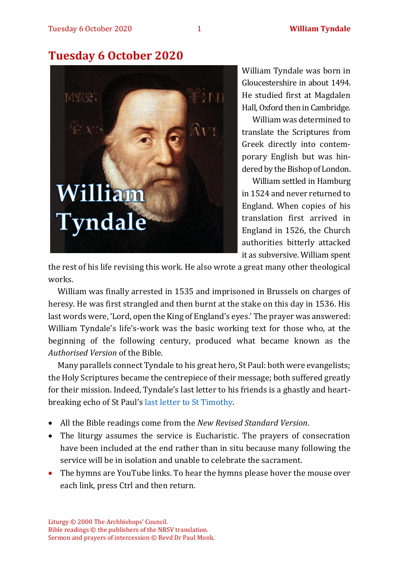# N V. **William<br>Tyndale**

William Tyndale was born in Gloucestershire in about 1494. He studied first at Magdalen Hall, Oxford then in Cambridge.

William was determined to translate the Scriptures from Greek directly into contemporary English but was hindered by the Bishop of London.

William settled in Hamburg in 1524 and never returned to England. When copies of his translation first arrived in England in 1526, the Church authorities bitterly attacked it as subversive. William spent

the rest of his life revising this work. He also wrote a great many other theological works.

William was finally arrested in 1535 and imprisoned in Brussels on charges of heresy. He was first strangled and then burnt at the stake on this day in 1536. His last words were, 'Lord, open the King of England's eyes.' The prayer was answered: William Tyndale's life's-work was the basic working text for those who, at the beginning of the following century, produced what became known as the *Authorised Version* of the Bible.

Many parallels connect Tyndale to his great hero, St Paul: both were evangelists; the Holy Scriptures became the centrepiece of their message; both suffered greatly for their mission. Indeed, Tyndale's last letter to his friends is a ghastly and heartbreaking echo of St Paul's [last letter to St Timothy.](https://www.biblegateway.com/passage/?search=2+Timothy+4%3A9-12&version=NIVUK)

- All the Bible readings come from the *New Revised Standard Version*.
- The liturgy assumes the service is Eucharistic. The prayers of consecration have been included at the end rather than in situ because many following the service will be in isolation and unable to celebrate the sacrament.
- The hymns are YouTube links. To hear the hymns please hover the mouse over each link, press Ctrl and then return.

**Tuesday 6 October 2020**

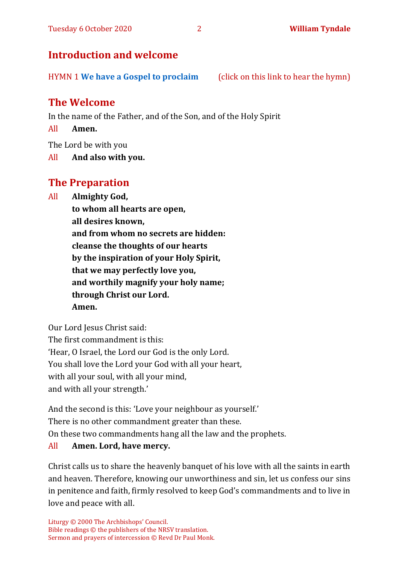#### **Introduction and welcome**

HYMN 1 **[We have a Gospel to proclaim](https://www.youtube.com/watch?v=E-SPYAgCtkw)** (click on this link to hear the hymn)

#### **The Welcome**

In the name of the Father, and of the Son, and of the Holy Spirit

All **Amen.**

The Lord be with you

All **And also with you.**

#### **The Preparation**

All **Almighty God,**

**to whom all hearts are open, all desires known, and from whom no secrets are hidden: cleanse the thoughts of our hearts by the inspiration of your Holy Spirit, that we may perfectly love you, and worthily magnify your holy name; through Christ our Lord. Amen.**

Our Lord Jesus Christ said: The first commandment is this: 'Hear, O Israel, the Lord our God is the only Lord. You shall love the Lord your God with all your heart, with all your soul, with all your mind, and with all your strength.'

And the second is this: 'Love your neighbour as yourself.' There is no other commandment greater than these. On these two commandments hang all the law and the prophets. All **Amen. Lord, have mercy.**

Christ calls us to share the heavenly banquet of his love with all the saints in earth and heaven. Therefore, knowing our unworthiness and sin, let us confess our sins in penitence and faith, firmly resolved to keep God's commandments and to live in love and peace with all.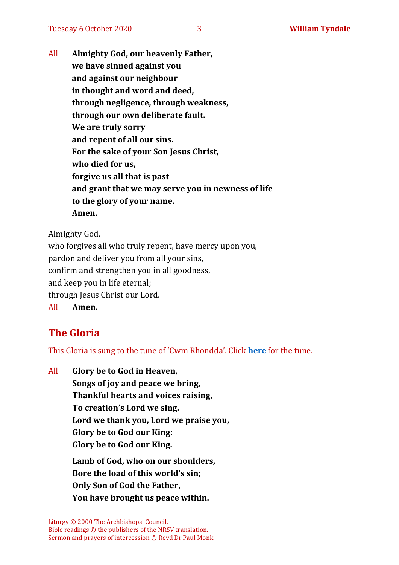All **Almighty God, our heavenly Father, we have sinned against you and against our neighbour in thought and word and deed, through negligence, through weakness, through our own deliberate fault. We are truly sorry and repent of all our sins. For the sake of your Son Jesus Christ, who died for us, forgive us all that is past and grant that we may serve you in newness of life to the glory of your name. Amen.**

Almighty God,

who forgives all who truly repent, have mercy upon you, pardon and deliver you from all your sins, confirm and strengthen you in all goodness, and keep you in life eternal; through Jesus Christ our Lord. All **Amen.**

## **The Gloria**

This Gloria is sung to the tune of 'Cwm Rhondda'. Click **[here](about:blank)** for the tune.

All **Glory be to God in Heaven, Songs of joy and peace we bring, Thankful hearts and voices raising, To creation's Lord we sing. Lord we thank you, Lord we praise you, Glory be to God our King: Glory be to God our King. Lamb of God, who on our shoulders, Bore the load of this world's sin; Only Son of God the Father, You have brought us peace within.**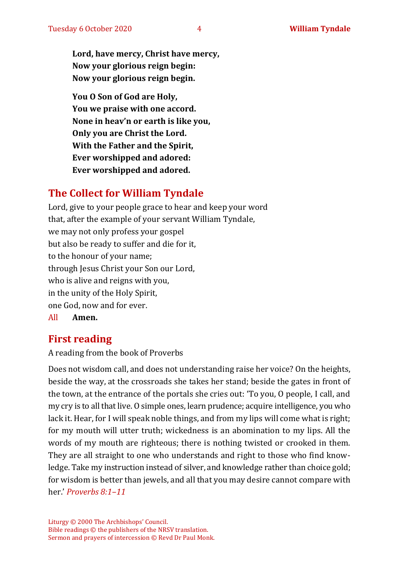**Lord, have mercy, Christ have mercy, Now your glorious reign begin: Now your glorious reign begin.**

**You O Son of God are Holy, You we praise with one accord. None in heav'n or earth is like you, Only you are Christ the Lord. With the Father and the Spirit, Ever worshipped and adored: Ever worshipped and adored.**

#### **The Collect for William Tyndale**

Lord, give to your people grace to hear and keep your word that, after the example of your servant William Tyndale, we may not only profess your gospel but also be ready to suffer and die for it, to the honour of your name; through Jesus Christ your Son our Lord, who is alive and reigns with you, in the unity of the Holy Spirit, one God, now and for ever.

All **Amen.**

#### **First reading**

A reading from the book of Proverbs

Does not wisdom call, and does not understanding raise her voice? On the heights, beside the way, at the crossroads she takes her stand; beside the gates in front of the town, at the entrance of the portals she cries out: 'To you, O people, I call, and my cry is to all that live. O simple ones, learn prudence; acquire intelligence, you who lack it. Hear, for I will speak noble things, and from my lips will come what is right; for my mouth will utter truth; wickedness is an abomination to my lips. All the words of my mouth are righteous; there is nothing twisted or crooked in them. They are all straight to one who understands and right to those who find knowledge. Take my instruction instead of silver, and knowledge rather than choice gold; for wisdom is better than jewels, and all that you may desire cannot compare with her.' *Proverbs 8:1–11*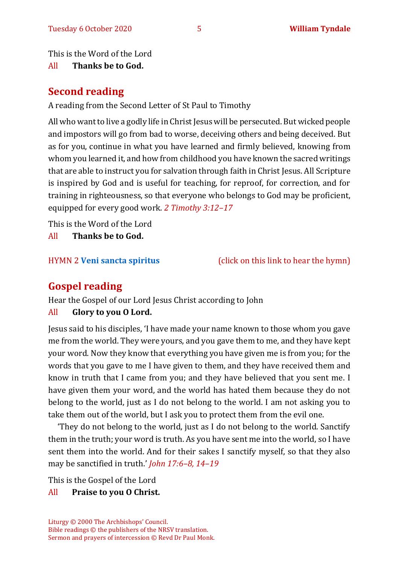This is the Word of the Lord

All **Thanks be to God.**

#### **Second reading**

A reading from the Second Letter of St Paul to Timothy

All who want to live a godly life in Christ Jesus will be persecuted. But wicked people and impostors will go from bad to worse, deceiving others and being deceived. But as for you, continue in what you have learned and firmly believed, knowing from whom you learned it, and how from childhood you have known the sacred writings that are able to instruct you for salvation through faith in Christ Jesus. All Scripture is inspired by God and is useful for teaching, for reproof, for correction, and for training in righteousness, so that everyone who belongs to God may be proficient, equipped for every good work. *2 Timothy 3:12–17*

This is the Word of the Lord

All **Thanks be to God.**

HYMN 2 **[Veni sancta spiritus](https://www.youtube.com/watch?v=WmxXwAgkhW)** (click on this link to hear the hymn)

## **Gospel reading**

Hear the Gospel of our Lord Jesus Christ according to John

All **Glory to you O Lord.**

Jesus said to his disciples, 'I have made your name known to those whom you gave me from the world. They were yours, and you gave them to me, and they have kept your word. Now they know that everything you have given me is from you; for the words that you gave to me I have given to them, and they have received them and know in truth that I came from you; and they have believed that you sent me. I have given them your word, and the world has hated them because they do not belong to the world, just as I do not belong to the world. I am not asking you to take them out of the world, but I ask you to protect them from the evil one.

'They do not belong to the world, just as I do not belong to the world. Sanctify them in the truth; your word is truth. As you have sent me into the world, so I have sent them into the world. And for their sakes I sanctify myself, so that they also may be sanctified in truth.' *John 17:6–8, 14–19*

This is the Gospel of the Lord

#### All **Praise to you O Christ.**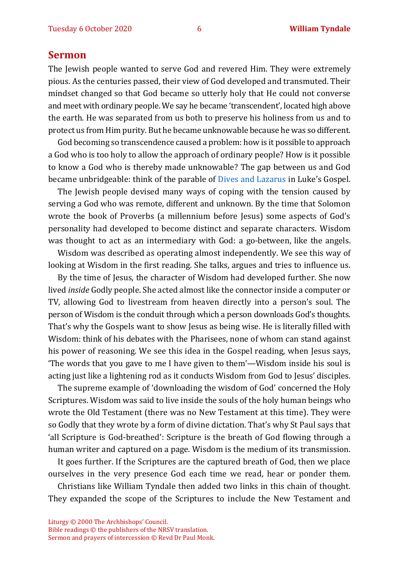#### **Sermon**

The Jewish people wanted to serve God and revered Him. They were extremely pious. As the centuries passed, their view of God developed and transmuted. Their mindset changed so that God became so utterly holy that He could not converse and meet with ordinary people. We say he became 'transcendent', located high above the earth. He was separated from us both to preserve his holiness from us and to protect us from Him purity. But he became unknowable because he was so different.

God becoming so transcendence caused a problem: how is it possible to approach a God who is too holy to allow the approach of ordinary people? How is it possible to know a God who is thereby made unknowable? The gap between us and God became unbridgeable: think of the parable of [Dives and Lazarus](https://www.biblegateway.com/passage/?search=Luke+16%3A19-31&version=NIVUK) in Luke's Gospel.

The Jewish people devised many ways of coping with the tension caused by serving a God who was remote, different and unknown. By the time that Solomon wrote the book of Proverbs (a millennium before Jesus) some aspects of God's personality had developed to become distinct and separate characters. Wisdom was thought to act as an intermediary with God: a go-between, like the angels.

Wisdom was described as operating almost independently. We see this way of looking at Wisdom in the first reading. She talks, argues and tries to influence us.

By the time of Jesus, the character of Wisdom had developed further. She now lived *inside* Godly people. She acted almost like the connector inside a computer or TV, allowing God to livestream from heaven directly into a person's soul. The person of Wisdom is the conduit through which a person downloads God's thoughts. That's why the Gospels want to show Jesus as being wise. He is literally filled with Wisdom: think of his debates with the Pharisees, none of whom can stand against his power of reasoning. We see this idea in the Gospel reading, when Jesus says, 'The words that you gave to me I have given to them'—Wisdom inside his soul is acting just like a lightening rod as it conducts Wisdom from God to Jesus' disciples.

The supreme example of 'downloading the wisdom of God' concerned the Holy Scriptures. Wisdom was said to live inside the souls of the holy human beings who wrote the Old Testament (there was no New Testament at this time). They were so Godly that they wrote by a form of divine dictation. That's why St Paul says that 'all Scripture is God-breathed': Scripture is the breath of God flowing through a human writer and captured on a page. Wisdom is the medium of its transmission.

It goes further. If the Scriptures are the captured breath of God, then we place ourselves in the very presence God each time we read, hear or ponder them.

Christians like William Tyndale then added two links in this chain of thought. They expanded the scope of the Scriptures to include the New Testament and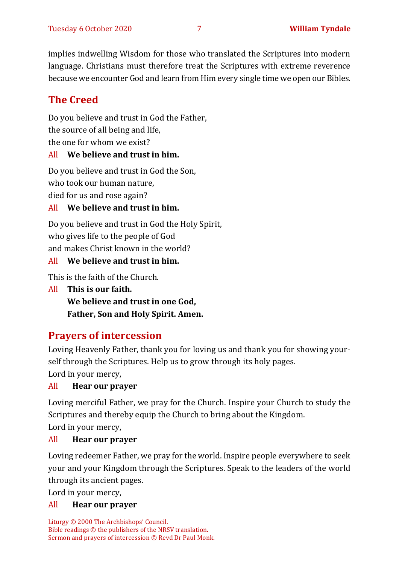implies indwelling Wisdom for those who translated the Scriptures into modern language. Christians must therefore treat the Scriptures with extreme reverence because we encounter God and learn from Him every single time we open our Bibles.

## **The Creed**

Do you believe and trust in God the Father, the source of all being and life, the one for whom we exist?

#### All **We believe and trust in him.**

Do you believe and trust in God the Son, who took our human nature, died for us and rose again?

#### All **We believe and trust in him.**

Do you believe and trust in God the Holy Spirit, who gives life to the people of God and makes Christ known in the world?

#### All **We believe and trust in him.**

This is the faith of the Church.

All **This is our faith. We believe and trust in one God, Father, Son and Holy Spirit. Amen.**

#### **Prayers of intercession**

Loving Heavenly Father, thank you for loving us and thank you for showing yourself through the Scriptures. Help us to grow through its holy pages.

Lord in your mercy,

#### All **Hear our prayer**

Loving merciful Father, we pray for the Church. Inspire your Church to study the Scriptures and thereby equip the Church to bring about the Kingdom.

Lord in your mercy,

#### All **Hear our prayer**

Loving redeemer Father, we pray for the world. Inspire people everywhere to seek your and your Kingdom through the Scriptures. Speak to the leaders of the world through its ancient pages.

Lord in your mercy,

#### All **Hear our prayer**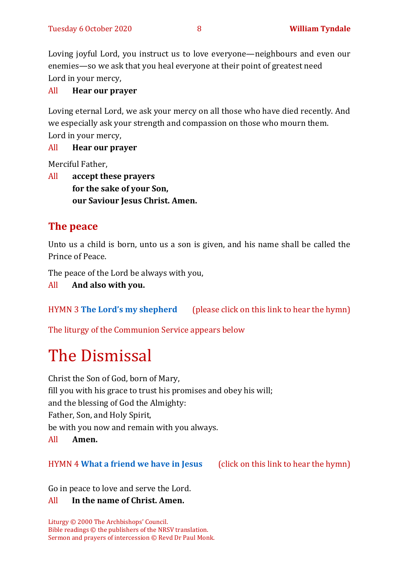Loving joyful Lord, you instruct us to love everyone—neighbours and even our enemies—so we ask that you heal everyone at their point of greatest need Lord in your mercy,

#### All **Hear our prayer**

Loving eternal Lord, we ask your mercy on all those who have died recently. And we especially ask your strength and compassion on those who mourn them. Lord in your mercy,

#### All **Hear our prayer**

Merciful Father,

All **accept these prayers for the sake of your Son, our Saviour Jesus Christ. Amen.**

#### **The peace**

Unto us a child is born, unto us a son is given, and his name shall be called the Prince of Peace.

The peace of the Lord be always with you,

All **And also with you.**

HYMN 3 **[The Lord's my shepherd](https://www.youtube.com/watch?v=IDAIwMvFcXQ)** (please click on this link to hear the hymn)

The liturgy of the Communion Service appears below

# The Dismissal

Christ the Son of God, born of Mary, fill you with his grace to trust his promises and obey his will; and the blessing of God the Almighty: Father, Son, and Holy Spirit, be with you now and remain with you always.

All **Amen.**

#### HYMN 4 **[What a friend we have in Jesus](https://www.youtube.com/watch?v=ivFVHRLZ8F8)** (click on this link to hear the hymn)

Go in peace to love and serve the Lord.

#### All **In the name of Christ. Amen.**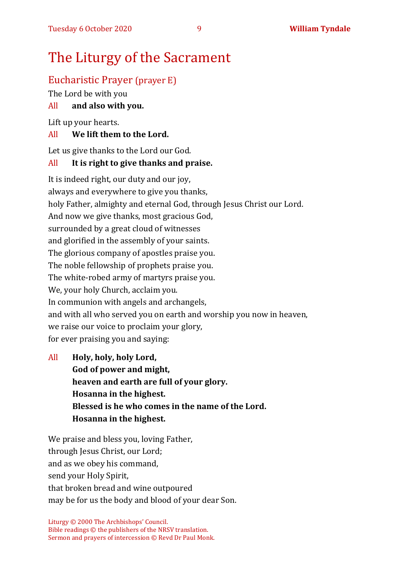## The Liturgy of the Sacrament

#### Eucharistic Prayer (prayer E)

The Lord be with you

#### All **and also with you.**

Lift up your hearts.

#### All **We lift them to the Lord.**

Let us give thanks to the Lord our God.

#### All **It is right to give thanks and praise.**

It is indeed right, our duty and our joy, always and everywhere to give you thanks, holy Father, almighty and eternal God, through Jesus Christ our Lord. And now we give thanks, most gracious God, surrounded by a great cloud of witnesses and glorified in the assembly of your saints. The glorious company of apostles praise you. The noble fellowship of prophets praise you. The white-robed army of martyrs praise you. We, your holy Church, acclaim you. In communion with angels and archangels, and with all who served you on earth and worship you now in heaven, we raise our voice to proclaim your glory, for ever praising you and saying:

All **Holy, holy, holy Lord, God of power and might, heaven and earth are full of your glory. Hosanna in the highest. Blessed is he who comes in the name of the Lord. Hosanna in the highest.**

We praise and bless you, loving Father, through Jesus Christ, our Lord; and as we obey his command, send your Holy Spirit, that broken bread and wine outpoured may be for us the body and blood of your dear Son.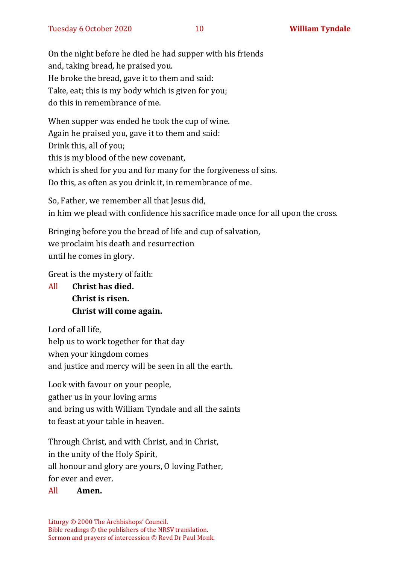On the night before he died he had supper with his friends and, taking bread, he praised you. He broke the bread, gave it to them and said: Take, eat; this is my body which is given for you; do this in remembrance of me.

When supper was ended he took the cup of wine. Again he praised you, gave it to them and said: Drink this, all of you; this is my blood of the new covenant, which is shed for you and for many for the forgiveness of sins. Do this, as often as you drink it, in remembrance of me.

So, Father, we remember all that Jesus did, in him we plead with confidence his sacrifice made once for all upon the cross.

Bringing before you the bread of life and cup of salvation, we proclaim his death and resurrection until he comes in glory.

Great is the mystery of faith:

All **Christ has died. Christ is risen. Christ will come again.**

Lord of all life, help us to work together for that day when your kingdom comes and justice and mercy will be seen in all the earth.

Look with favour on your people, gather us in your loving arms and bring us with William Tyndale and all the saints to feast at your table in heaven.

Through Christ, and with Christ, and in Christ, in the unity of the Holy Spirit, all honour and glory are yours, O loving Father, for ever and ever.

#### All **Amen.**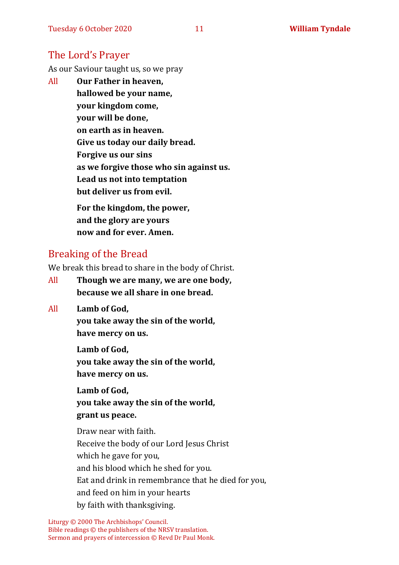#### The Lord's Prayer

As our Saviour taught us, so we pray

All **Our Father in heaven, hallowed be your name, your kingdom come, your will be done, on earth as in heaven. Give us today our daily bread. Forgive us our sins as we forgive those who sin against us. Lead us not into temptation but deliver us from evil. For the kingdom, the power,** 

**and the glory are yours now and for ever. Amen.**

#### Breaking of the Bread

We break this bread to share in the body of Christ.

- All **Though we are many, we are one body, because we all share in one bread.**
- All **Lamb of God,**

**you take away the sin of the world, have mercy on us.**

**Lamb of God, you take away the sin of the world, have mercy on us.**

**Lamb of God, you take away the sin of the world, grant us peace.**

Draw near with faith. Receive the body of our Lord Jesus Christ which he gave for you, and his blood which he shed for you. Eat and drink in remembrance that he died for you, and feed on him in your hearts by faith with thanksgiving.